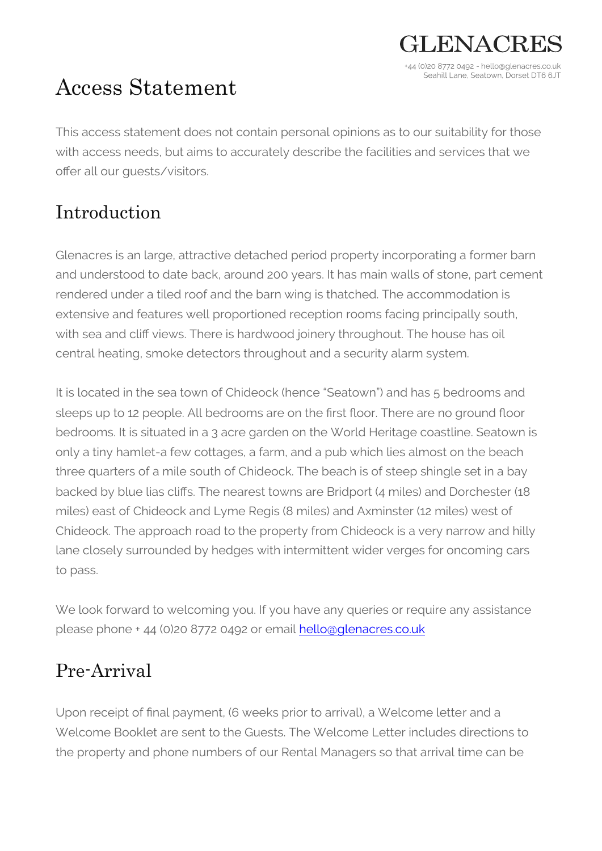# Access Statement

This access statement does not contain personal opinions as to our suitability for those with access needs, but aims to accurately describe the facilities and services that we offer all our guests/visitors.

 $H_KNAC$ 

+44 (0)20 8772 0492 - hello@glenacres.co.uk Seahill Lane, Seatown, Dorset DT6 6JT

### Introduction

Glenacres is an large, attractive detached period property incorporating a former barn and understood to date back, around 200 years. It has main walls of stone, part cement rendered under a tiled roof and the barn wing is thatched. The accommodation is extensive and features well proportioned reception rooms facing principally south, with sea and cliff views. There is hardwood joinery throughout. The house has oil central heating, smoke detectors throughout and a security alarm system.

It is located in the sea town of Chideock (hence "Seatown") and has 5 bedrooms and sleeps up to 12 people. All bedrooms are on the first floor. There are no ground floor bedrooms. It is situated in a 3 acre garden on the World Heritage coastline. Seatown is only a tiny hamlet-a few cottages, a farm, and a pub which lies almost on the beach three quarters of a mile south of Chideock. The beach is of steep shingle set in a bay backed by blue lias cliffs. The nearest towns are Bridport (4 miles) and Dorchester (18 miles) east of Chideock and Lyme Regis (8 miles) and Axminster (12 miles) west of Chideock. The approach road to the property from Chideock is a very narrow and hilly lane closely surrounded by hedges with intermittent wider verges for oncoming cars to pass.

We look forward to welcoming you. If you have any queries or require any assistance please phone + 44 (0)20 8772 0492 or email hello@glenacres.co.uk

### Pre-Arrival

Upon receipt of final payment, (6 weeks prior to arrival), a Welcome letter and a Welcome Booklet are sent to the Guests. The Welcome Letter includes directions to the property and phone numbers of our Rental Managers so that arrival time can be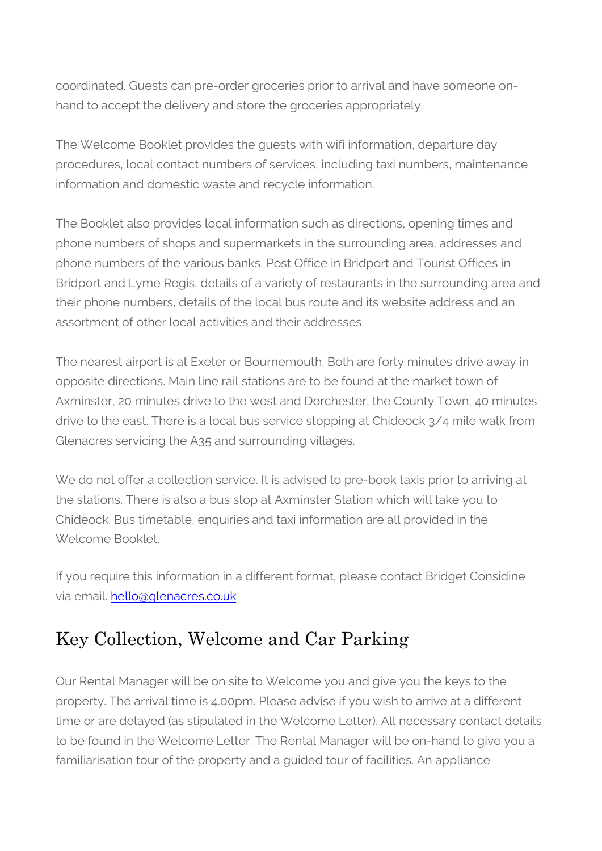coordinated. Guests can pre-order groceries prior to arrival and have someone onhand to accept the delivery and store the groceries appropriately.

The Welcome Booklet provides the guests with wifi information, departure day procedures, local contact numbers of services, including taxi numbers, maintenance information and domestic waste and recycle information.

The Booklet also provides local information such as directions, opening times and phone numbers of shops and supermarkets in the surrounding area, addresses and phone numbers of the various banks, Post Office in Bridport and Tourist Offices in Bridport and Lyme Regis, details of a variety of restaurants in the surrounding area and their phone numbers, details of the local bus route and its website address and an assortment of other local activities and their addresses.

The nearest airport is at Exeter or Bournemouth. Both are forty minutes drive away in opposite directions. Main line rail stations are to be found at the market town of Axminster, 20 minutes drive to the west and Dorchester, the County Town, 40 minutes drive to the east. There is a local bus service stopping at Chideock 3/4 mile walk from Glenacres servicing the A35 and surrounding villages.

We do not offer a collection service. It is advised to pre-book taxis prior to arriving at the stations. There is also a bus stop at Axminster Station which will take you to Chideock. Bus timetable, enquiries and taxi information are all provided in the Welcome Booklet.

If you require this information in a different format, please contact Bridget Considine via email. hello@glenacres.co.uk

### Key Collection, Welcome and Car Parking

Our Rental Manager will be on site to Welcome you and give you the keys to the property. The arrival time is 4.00pm. Please advise if you wish to arrive at a different time or are delayed (as stipulated in the Welcome Letter). All necessary contact details to be found in the Welcome Letter. The Rental Manager will be on-hand to give you a familiarisation tour of the property and a guided tour of facilities. An appliance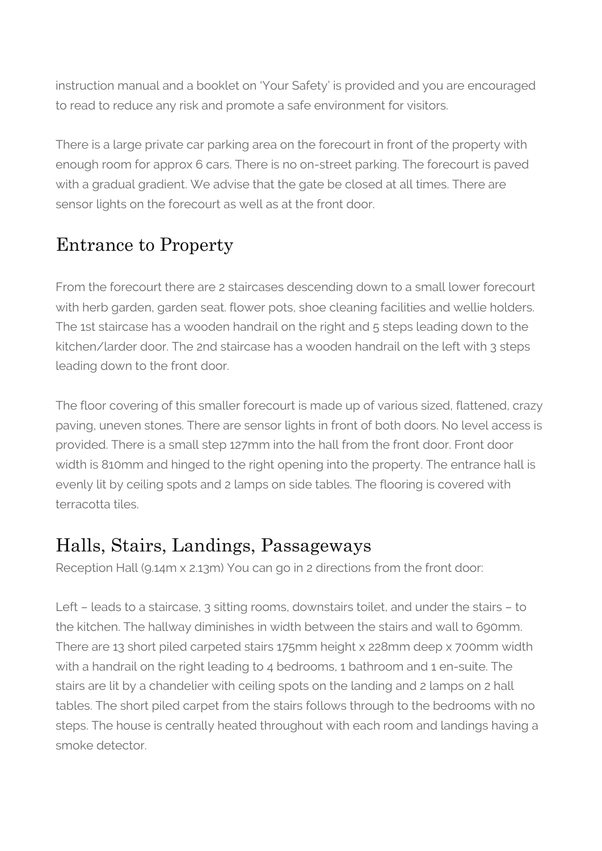instruction manual and a booklet on 'Your Safety' is provided and you are encouraged to read to reduce any risk and promote a safe environment for visitors.

There is a large private car parking area on the forecourt in front of the property with enough room for approx 6 cars. There is no on-street parking. The forecourt is paved with a gradual gradient. We advise that the gate be closed at all times. There are sensor lights on the forecourt as well as at the front door.

## Entrance to Property

From the forecourt there are 2 staircases descending down to a small lower forecourt with herb garden, garden seat. flower pots, shoe cleaning facilities and wellie holders. The 1st staircase has a wooden handrail on the right and 5 steps leading down to the kitchen/larder door. The 2nd staircase has a wooden handrail on the left with 3 steps leading down to the front door.

The floor covering of this smaller forecourt is made up of various sized, flattened, crazy paving, uneven stones. There are sensor lights in front of both doors. No level access is provided. There is a small step 127mm into the hall from the front door. Front door width is 810mm and hinged to the right opening into the property. The entrance hall is evenly lit by ceiling spots and 2 lamps on side tables. The flooring is covered with terracotta tiles.

### Halls, Stairs, Landings, Passageways

Reception Hall (9.14m x 2.13m) You can go in 2 directions from the front door:

Left – leads to a staircase, 3 sitting rooms, downstairs toilet, and under the stairs – to the kitchen. The hallway diminishes in width between the stairs and wall to 690mm. There are 13 short piled carpeted stairs 175mm height x 228mm deep x 700mm width with a handrail on the right leading to 4 bedrooms, 1 bathroom and 1 en-suite. The stairs are lit by a chandelier with ceiling spots on the landing and 2 lamps on 2 hall tables. The short piled carpet from the stairs follows through to the bedrooms with no steps. The house is centrally heated throughout with each room and landings having a smoke detector.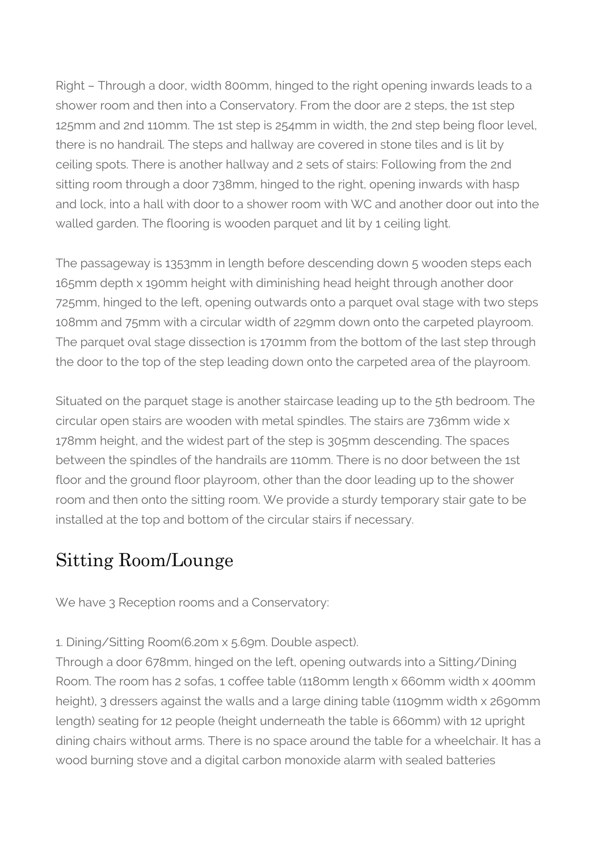Right – Through a door, width 800mm, hinged to the right opening inwards leads to a shower room and then into a Conservatory. From the door are 2 steps, the 1st step 125mm and 2nd 110mm. The 1st step is 254mm in width, the 2nd step being floor level, there is no handrail. The steps and hallway are covered in stone tiles and is lit by ceiling spots. There is another hallway and 2 sets of stairs: Following from the 2nd sitting room through a door 738mm, hinged to the right, opening inwards with hasp and lock, into a hall with door to a shower room with WC and another door out into the walled garden. The flooring is wooden parquet and lit by 1 ceiling light.

The passageway is 1353mm in length before descending down 5 wooden steps each 165mm depth x 190mm height with diminishing head height through another door 725mm, hinged to the left, opening outwards onto a parquet oval stage with two steps 108mm and 75mm with a circular width of 229mm down onto the carpeted playroom. The parquet oval stage dissection is 1701mm from the bottom of the last step through the door to the top of the step leading down onto the carpeted area of the playroom.

Situated on the parquet stage is another staircase leading up to the 5th bedroom. The circular open stairs are wooden with metal spindles. The stairs are 736mm wide x 178mm height, and the widest part of the step is 305mm descending. The spaces between the spindles of the handrails are 110mm. There is no door between the 1st floor and the ground floor playroom, other than the door leading up to the shower room and then onto the sitting room. We provide a sturdy temporary stair gate to be installed at the top and bottom of the circular stairs if necessary.

### Sitting Room/Lounge

We have 3 Reception rooms and a Conservatory:

1. Dining/Sitting Room(6.20m x 5.69m. Double aspect).

Through a door 678mm, hinged on the left, opening outwards into a Sitting/Dining Room. The room has 2 sofas, 1 coffee table (1180mm length x 660mm width x 400mm height), 3 dressers against the walls and a large dining table (1109mm width x 2690mm length) seating for 12 people (height underneath the table is 660mm) with 12 upright dining chairs without arms. There is no space around the table for a wheelchair. It has a wood burning stove and a digital carbon monoxide alarm with sealed batteries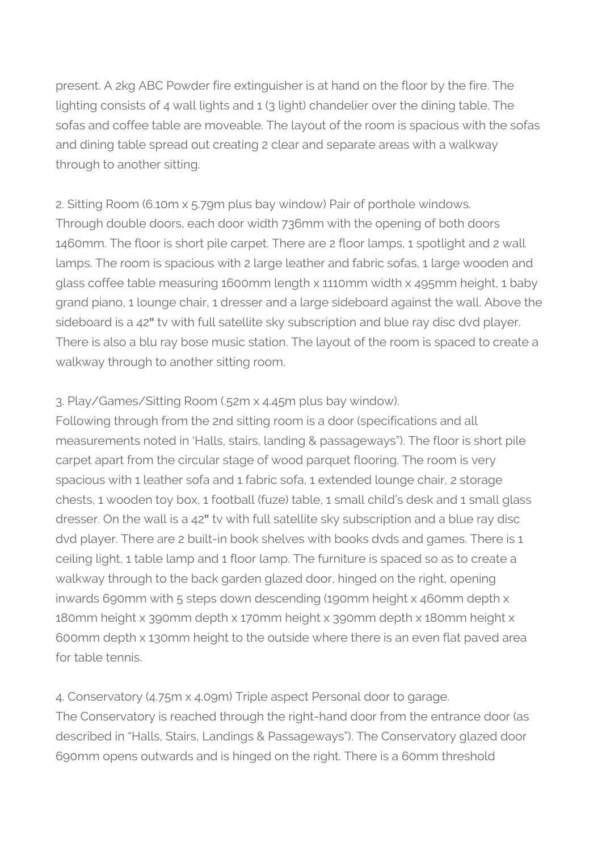present. A 2kg ABC Powder fire extinguisher is at hand on the floor by the fire. The lighting consists of 4 wall lights and 1 (3 light) chandelier over the dining table. The sofas and coffee table are moveable. The layout of the room is spacious with the sofas and dining table spread out creating 2 clear and separate areas with a walkway through to another sitting.

2. Sitting Room (6.10m x 5.79m plus bay window) Pair of porthole windows. Through double doors, each door width 736mm with the opening of both doors 1460mm. The floor is short pile carpet. There are 2 floor lamps, 1 spotlight and 2 wall lamps. The room is spacious with 2 large leather and fabric sofas, 1 large wooden and glass coffee table measuring 1600mm length x 1110mm width x 495mm height, 1 baby grand piano, 1 lounge chair, 1 dresser and a large sideboard against the wall. Above the sideboard is a 42**″** tv with full satellite sky subscription and blue ray disc dvd player. There is also a blu ray bose music station. The layout of the room is spaced to create a walkway through to another sitting room.

#### 3. Play/Games/Sitting Room (.52m x 4.45m plus bay window).

Following through from the 2nd sitting room is a door (specifications and all measurements noted in 'Halls, stairs, landing & passageways"). The floor is short pile carpet apart from the circular stage of wood parquet flooring. The room is very spacious with 1 leather sofa and 1 fabric sofa, 1 extended lounge chair, 2 storage chests, 1 wooden toy box, 1 football (fuze) table, 1 small child's desk and 1 small glass dresser. On the wall is a 42**″** tv with full satellite sky subscription and a blue ray disc dvd player. There are 2 built-in book shelves with books dvds and games. There is 1 ceiling light, 1 table lamp and 1 floor lamp. The furniture is spaced so as to create a walkway through to the back garden glazed door, hinged on the right, opening inwards 690mm with 5 steps down descending (190mm height x 460mm depth x 180mm height x 390mm depth x 170mm height x 390mm depth x 180mm height x 600mm depth x 130mm height to the outside where there is an even flat paved area for table tennis.

4. Conservatory (4.75m x 4.09m) Triple aspect Personal door to garage. The Conservatory is reached through the right-hand door from the entrance door (as described in "Halls, Stairs, Landings & Passageways"). The Conservatory glazed door 690mm opens outwards and is hinged on the right. There is a 60mm threshold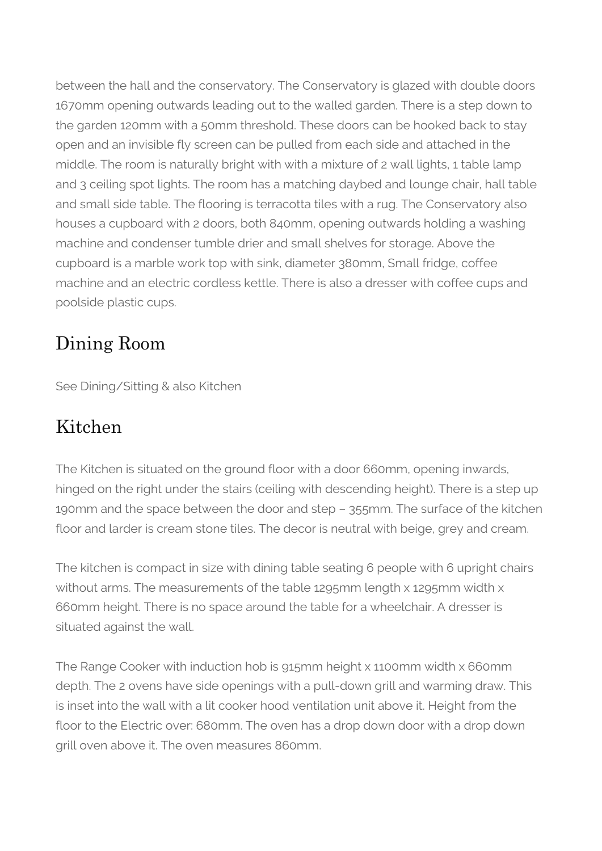between the hall and the conservatory. The Conservatory is glazed with double doors 1670mm opening outwards leading out to the walled garden. There is a step down to the garden 120mm with a 50mm threshold. These doors can be hooked back to stay open and an invisible fly screen can be pulled from each side and attached in the middle. The room is naturally bright with with a mixture of 2 wall lights, 1 table lamp and 3 ceiling spot lights. The room has a matching daybed and lounge chair, hall table and small side table. The flooring is terracotta tiles with a rug. The Conservatory also houses a cupboard with 2 doors, both 840mm, opening outwards holding a washing machine and condenser tumble drier and small shelves for storage. Above the cupboard is a marble work top with sink, diameter 380mm, Small fridge, coffee machine and an electric cordless kettle. There is also a dresser with coffee cups and poolside plastic cups.

### Dining Room

See Dining/Sitting & also Kitchen

### Kitchen

The Kitchen is situated on the ground floor with a door 660mm, opening inwards, hinged on the right under the stairs (ceiling with descending height). There is a step up 190mm and the space between the door and step – 355mm. The surface of the kitchen floor and larder is cream stone tiles. The decor is neutral with beige, grey and cream.

The kitchen is compact in size with dining table seating 6 people with 6 upright chairs without arms. The measurements of the table 1295mm length x 1295mm width x 660mm height. There is no space around the table for a wheelchair. A dresser is situated against the wall.

The Range Cooker with induction hob is 915mm height x 1100mm width x 660mm depth. The 2 ovens have side openings with a pull-down grill and warming draw. This is inset into the wall with a lit cooker hood ventilation unit above it. Height from the floor to the Electric over: 680mm. The oven has a drop down door with a drop down grill oven above it. The oven measures 860mm.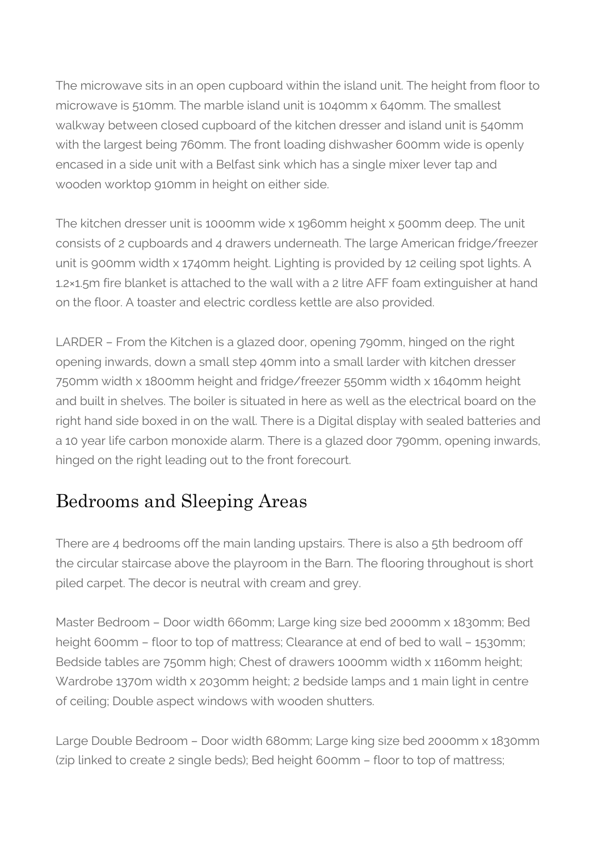The microwave sits in an open cupboard within the island unit. The height from floor to microwave is 510mm. The marble island unit is 1040mm x 640mm. The smallest walkway between closed cupboard of the kitchen dresser and island unit is 540mm with the largest being 760mm. The front loading dishwasher 600mm wide is openly encased in a side unit with a Belfast sink which has a single mixer lever tap and wooden worktop 910mm in height on either side.

The kitchen dresser unit is 1000mm wide x 1960mm height x 500mm deep. The unit consists of 2 cupboards and 4 drawers underneath. The large American fridge/freezer unit is 900mm width x 1740mm height. Lighting is provided by 12 ceiling spot lights. A 1.2×1.5m fire blanket is attached to the wall with a 2 litre AFF foam extinguisher at hand on the floor. A toaster and electric cordless kettle are also provided.

LARDER – From the Kitchen is a glazed door, opening 790mm, hinged on the right opening inwards, down a small step 40mm into a small larder with kitchen dresser 750mm width x 1800mm height and fridge/freezer 550mm width x 1640mm height and built in shelves. The boiler is situated in here as well as the electrical board on the right hand side boxed in on the wall. There is a Digital display with sealed batteries and a 10 year life carbon monoxide alarm. There is a glazed door 790mm, opening inwards, hinged on the right leading out to the front forecourt.

### Bedrooms and Sleeping Areas

There are 4 bedrooms off the main landing upstairs. There is also a 5th bedroom off the circular staircase above the playroom in the Barn. The flooring throughout is short piled carpet. The decor is neutral with cream and grey.

Master Bedroom – Door width 660mm; Large king size bed 2000mm x 1830mm; Bed height 600mm – floor to top of mattress; Clearance at end of bed to wall – 1530mm; Bedside tables are 750mm high; Chest of drawers 1000mm width x 1160mm height; Wardrobe 1370m width x 2030mm height; 2 bedside lamps and 1 main light in centre of ceiling; Double aspect windows with wooden shutters.

Large Double Bedroom – Door width 680mm; Large king size bed 2000mm x 1830mm (zip linked to create 2 single beds); Bed height 600mm – floor to top of mattress;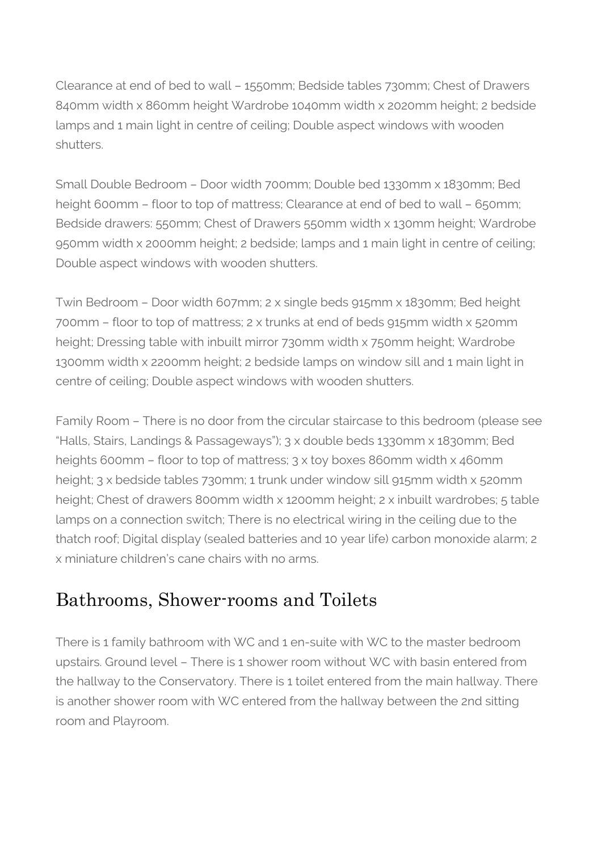Clearance at end of bed to wall – 1550mm; Bedside tables 730mm; Chest of Drawers 840mm width x 860mm height Wardrobe 1040mm width x 2020mm height; 2 bedside lamps and 1 main light in centre of ceiling; Double aspect windows with wooden shutters.

Small Double Bedroom – Door width 700mm; Double bed 1330mm x 1830mm; Bed height 600mm – floor to top of mattress; Clearance at end of bed to wall – 650mm; Bedside drawers: 550mm; Chest of Drawers 550mm width x 130mm height; Wardrobe 950mm width x 2000mm height; 2 bedside; lamps and 1 main light in centre of ceiling; Double aspect windows with wooden shutters.

Twin Bedroom – Door width 607mm; 2 x single beds 915mm x 1830mm; Bed height 700mm – floor to top of mattress; 2 x trunks at end of beds 915mm width x 520mm height; Dressing table with inbuilt mirror 730mm width x 750mm height; Wardrobe 1300mm width x 2200mm height; 2 bedside lamps on window sill and 1 main light in centre of ceiling; Double aspect windows with wooden shutters.

Family Room – There is no door from the circular staircase to this bedroom (please see "Halls, Stairs, Landings & Passageways"); 3 x double beds 1330mm x 1830mm; Bed heights 600mm – floor to top of mattress; 3 x toy boxes 860mm width x 460mm height; 3 x bedside tables 730mm; 1 trunk under window sill 915mm width x 520mm height; Chest of drawers 800mm width x 1200mm height; 2 x inbuilt wardrobes; 5 table lamps on a connection switch; There is no electrical wiring in the ceiling due to the thatch roof; Digital display (sealed batteries and 10 year life) carbon monoxide alarm; 2 x miniature children's cane chairs with no arms.

### Bathrooms, Shower-rooms and Toilets

There is 1 family bathroom with WC and 1 en-suite with WC to the master bedroom upstairs. Ground level – There is 1 shower room without WC with basin entered from the hallway to the Conservatory. There is 1 toilet entered from the main hallway. There is another shower room with WC entered from the hallway between the 2nd sitting room and Playroom.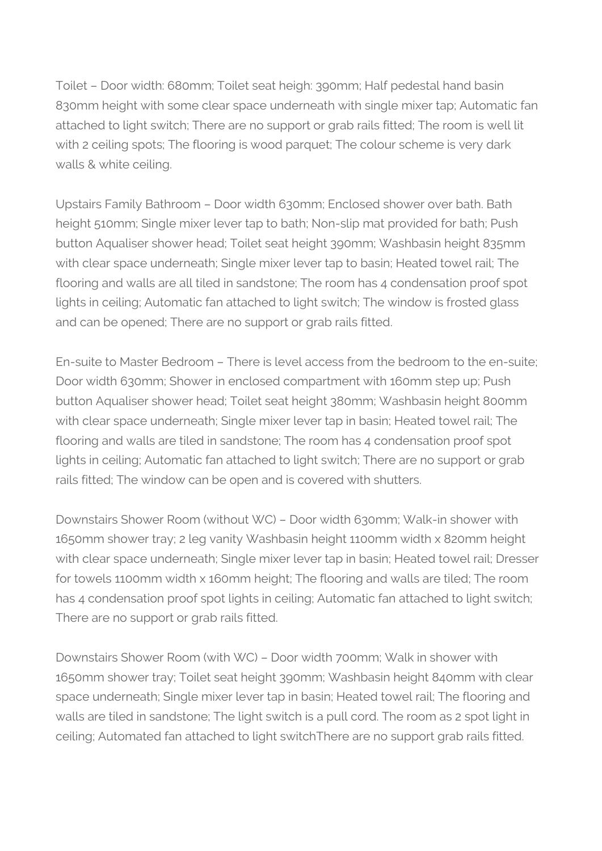Toilet – Door width: 680mm; Toilet seat heigh: 390mm; Half pedestal hand basin 830mm height with some clear space underneath with single mixer tap; Automatic fan attached to light switch; There are no support or grab rails fitted; The room is well lit with 2 ceiling spots; The flooring is wood parquet; The colour scheme is very dark walls & white ceiling.

Upstairs Family Bathroom – Door width 630mm; Enclosed shower over bath. Bath height 510mm; Single mixer lever tap to bath; Non-slip mat provided for bath; Push button Aqualiser shower head; Toilet seat height 390mm; Washbasin height 835mm with clear space underneath; Single mixer lever tap to basin; Heated towel rail; The flooring and walls are all tiled in sandstone; The room has 4 condensation proof spot lights in ceiling; Automatic fan attached to light switch; The window is frosted glass and can be opened; There are no support or grab rails fitted.

En-suite to Master Bedroom – There is level access from the bedroom to the en-suite; Door width 630mm; Shower in enclosed compartment with 160mm step up; Push button Aqualiser shower head; Toilet seat height 380mm; Washbasin height 800mm with clear space underneath; Single mixer lever tap in basin; Heated towel rail; The flooring and walls are tiled in sandstone; The room has 4 condensation proof spot lights in ceiling; Automatic fan attached to light switch; There are no support or grab rails fitted; The window can be open and is covered with shutters.

Downstairs Shower Room (without WC) – Door width 630mm; Walk-in shower with 1650mm shower tray; 2 leg vanity Washbasin height 1100mm width x 820mm height with clear space underneath; Single mixer lever tap in basin; Heated towel rail; Dresser for towels 1100mm width x 160mm height; The flooring and walls are tiled; The room has 4 condensation proof spot lights in ceiling; Automatic fan attached to light switch; There are no support or grab rails fitted.

Downstairs Shower Room (with WC) – Door width 700mm; Walk in shower with 1650mm shower tray; Toilet seat height 390mm; Washbasin height 840mm with clear space underneath; Single mixer lever tap in basin; Heated towel rail; The flooring and walls are tiled in sandstone; The light switch is a pull cord. The room as 2 spot light in ceiling; Automated fan attached to light switchThere are no support grab rails fitted.